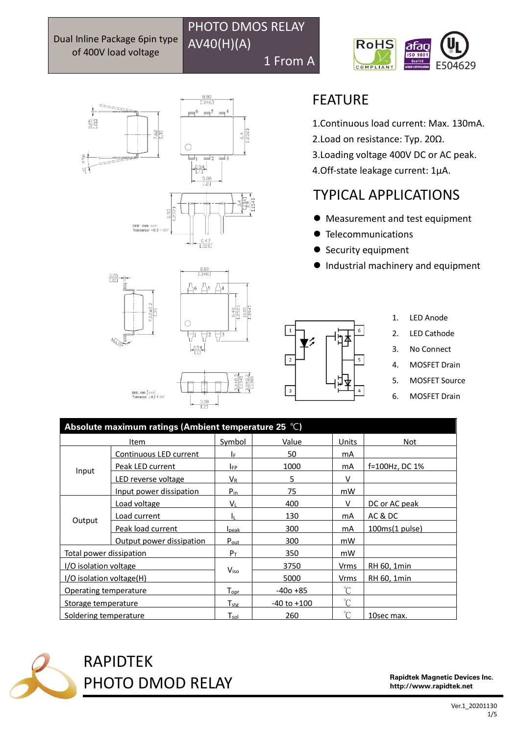Dual Inline Package 6pin type of 400V load voltage

AV40(H)(A) 1 From A

PHOTO DMOS RELAY







 $\frac{5.08}{2.21}$ 

 $\frac{410}{134}$ 



Unit : mm  $[$  inch]<br>Tolerance:  $\pm 0.2$   $\pm .007$ 

| <b>EATURE</b> |  |
|---------------|--|
|---------------|--|

1.Continuous load current: Max. 130mA.

- 2.Load on resistance: Typ. 20Ω.
- 3.Loading voltage 400V DC or AC peak.

4.Off-state leakage current: 1μA.

## TYPICAL APPLICATIONS

- ⚫ Measurement and test equipment
- ⚫ Telecommunications
- Security equipment
- Industrial machinery and equipment



- 1. LED Anode
- 2. LED Cathode
- 3. No Connect
- 4. MOSFET Drain
- 5. MOSFET Source
- 6. MOSFET Drain

| Absolute maximum ratings (Ambient temperature 25 $^{\circ}$ C) |                          |                             |                 |                 |                |
|----------------------------------------------------------------|--------------------------|-----------------------------|-----------------|-----------------|----------------|
|                                                                | Item                     | Symbol                      | Value           | Units           | Not            |
| Input                                                          | Continuous LED current   | I۴                          | 50              | mA              |                |
|                                                                | Peak LED current         | <b>IFP</b>                  | 1000            | mA              | f=100Hz, DC 1% |
|                                                                | LED reverse voltage      | $V_{R}$                     | 5               | v               |                |
|                                                                | Input power dissipation  | $P_{in}$                    | 75              | mW              |                |
| Output                                                         | Load voltage             | $V_{L}$                     | 400             | V               | DC or AC peak  |
|                                                                | Load current             | h                           | 130             | mA              | AC & DC        |
|                                                                | Peak load current        | <b>I</b> peak               | 300             | mA              | 100ms(1 pulse) |
|                                                                | Output power dissipation | $P_{\text{out}}$            | 300             | mW              |                |
| Total power dissipation                                        |                          | $P_T$                       | 350             | mW              |                |
| I/O isolation voltage                                          |                          | Viso                        | 3750            | Vrms            | RH 60, 1min    |
| I/O isolation voltage(H)                                       |                          |                             | 5000            | Vrms            | RH 60, 1min    |
| Operating temperature                                          |                          | $\mathsf{T}_{\mathsf{oor}}$ | $-400 + 85$     | n°              |                |
| Storage temperature                                            |                          | $T_{\mathsf{stg}}$          | $-40$ to $+100$ | $\rm ^{\circ}C$ |                |
| Soldering temperature                                          |                          | $\mathsf{T}_{\mathsf{sol}}$ | 260             | °C              | 10sec max.     |



RAPIDTEK PHOTO DMOD RELAY

Rapidtek Magnetic Devices Inc. http://www.rapidtek.net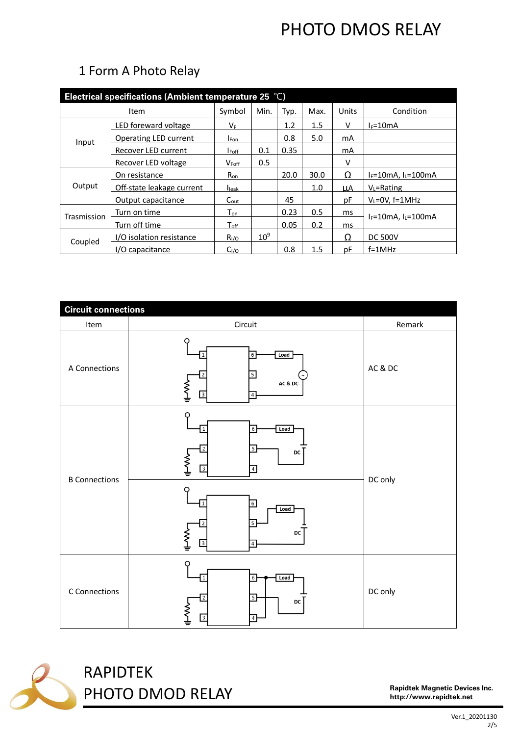| Electrical specifications (Ambient temperature 25 $°C$ ) |                           |                             |                 |      |         |           |                              |  |
|----------------------------------------------------------|---------------------------|-----------------------------|-----------------|------|---------|-----------|------------------------------|--|
|                                                          | Symbol                    | Min.                        | Typ.            | Max. | Units   | Condition |                              |  |
| Input                                                    | LED foreward voltage      | Vғ.                         |                 | 1.2  | $1.5\,$ | V         | $l_F = 10mA$                 |  |
|                                                          | Operating LED current     | <b>I</b> Fon                |                 | 0.8  | 5.0     | mA        |                              |  |
|                                                          | Recover LED current       | <b>I</b> Foff               | 0.1             | 0.35 |         | mA        |                              |  |
|                                                          | Recover LED voltage       | $V_{\text{Foff}}$           | 0.5             |      |         | ٧         |                              |  |
| Output                                                   | On resistance             | $R_{on}$                    |                 | 20.0 | 30.0    | Ω         | $I_F = 10mA$ , $I_L = 100mA$ |  |
|                                                          | Off-state leakage current | <b>I</b> leak               |                 |      | 1.0     | ЦA        | $V_L$ =Rating                |  |
|                                                          | Output capacitance        | $C_{\text{out}}$            |                 | 45   |         | рF        | $V_L = 0V$ , f=1MHz          |  |
| Trasmission                                              | Turn on time              | $T_{on}$                    |                 | 0.23 | 0.5     | ms        | $I_F = 10mA.$ $I_I = 100mA$  |  |
|                                                          | Turn off time             | $\mathsf{T}_{\mathsf{off}}$ |                 | 0.05 | 0.2     | ms        |                              |  |
| Coupled                                                  | I/O isolation resistance  | $R_{I/O}$                   | 10 <sup>9</sup> |      |         | Ω         | <b>DC 500V</b>               |  |
|                                                          | I/O capacitance           | C <sub>I/O</sub>            |                 | 0.8  | 1.5     | рF        | $f = 1MHz$                   |  |

### 1 Form A Photo Relay

| <b>Circuit connections</b> |                                                                                                                            |         |  |  |
|----------------------------|----------------------------------------------------------------------------------------------------------------------------|---------|--|--|
| Item                       | Circuit                                                                                                                    | Remark  |  |  |
| A Connections              | Load<br>6<br>AC & DC<br>≹<br>3<br>4                                                                                        | AC & DC |  |  |
| <b>B</b> Connections       | $\sqrt{6}$<br>Load<br>5<br>DC<br>⋛<br>$\overline{3}$<br>$\sqrt{4}$<br>$\sqrt{6}$<br>Load<br>≸<br>DC<br>$\overline{3}$<br>4 | DC only |  |  |
| C Connections              | Load<br>6<br>5 <sub>5</sub><br>DC<br>$\overline{3}$<br>$\sqrt{4}$                                                          | DC only |  |  |



# RAPIDTEK PHOTO DMOD RELAY

Rapidtek Magnetic Devices Inc. http://www.rapidtek.net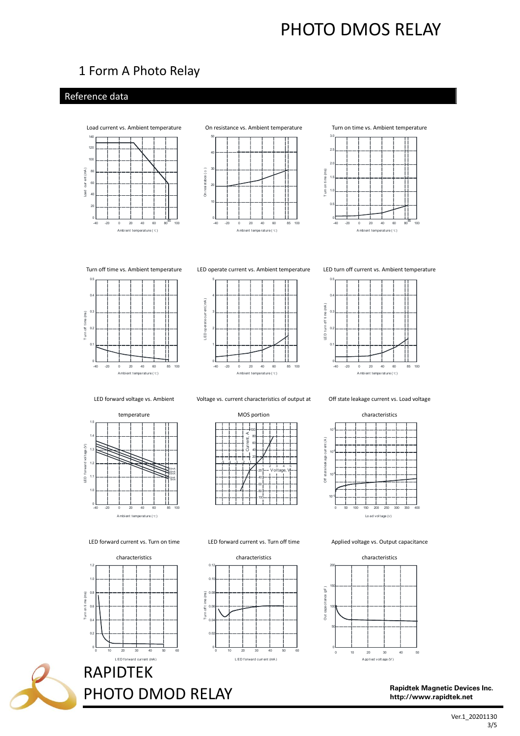### 1 Form A Photo Relay

### Reference data



4 esistabce  $( \alpha )$ 2 ā f  $\sim$  $\overline{20}$  $40$ 60 85  $100$  $-40$  $\overline{0}$ ī Ambient tempe rature (c)





Turn off time vs. Ambient temperature LED operate current vs. Ambient temperature LED turn off current vs. Ambient temperature





LED forward voltage vs. Ambient



Voltage vs. current characteristics of output at

Current, A 5 4 Off state leakage current vs. Load voltage



MOS portion

ν

Lo ad voltage (v)

Applied voltage vs. Output capacitance



characteristics



Rapidtek Magnetic Devices Inc. http://www.rapidtek.net



RAPIDTEK

I ED forward current (mA) 2

 $30$ 

 $0.2$ 

 $\alpha$ 

PHOTO DMOD RELAY

LED forward current vs. Turn on time LED forward current vs. Turn off time

 $\mathbb O$ 

 $\widehat{\underline{\mathbf{g}}}^{0}$ 

 $\frac{1}{6}$  $\frac{1}{2}$   $\overline{0}$  $0.1$ 



 $20$ 

10

Ver.1\_20201130 3/5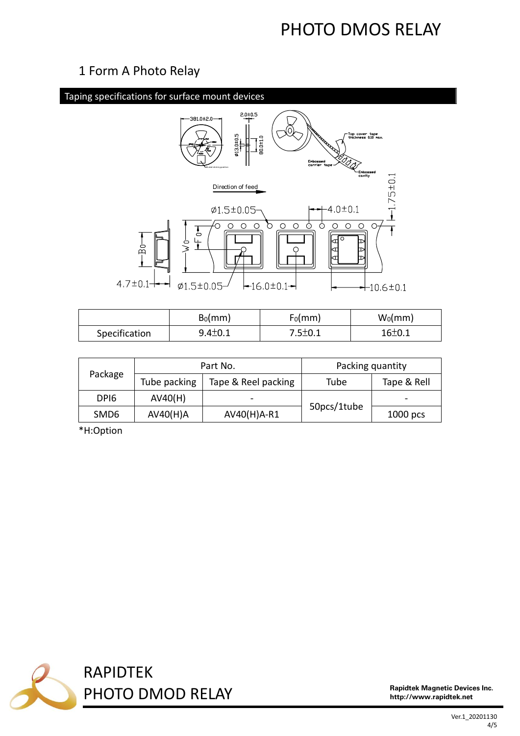### 1 Form A Photo Relay



|               | $B_0$ (mm)    | $F_0$ (mm)    | $W_0$ (mm)   |
|---------------|---------------|---------------|--------------|
| Specification | $9.4 \pm 0.1$ | $7.5 \pm 0.1$ | $16 \pm 0.1$ |

|                  |              | Part No.            | Packing quantity |                          |  |
|------------------|--------------|---------------------|------------------|--------------------------|--|
| Package          | Tube packing | Tape & Reel packing | Tube             | Tape & Rell              |  |
| DPI <sub>6</sub> | AV40(H)      |                     |                  | $\overline{\phantom{0}}$ |  |
| SMD <sub>6</sub> | AV40(H)A     | AV40(H)A-R1         | 50pcs/1tube      | $1000$ pcs               |  |

\*H:Option



Rapidtek Magnetic Devices Inc. http://www.rapidtek.net